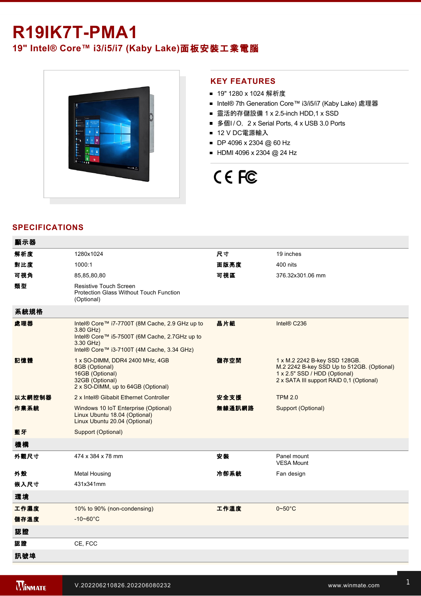## **R19IK7T-PMA1**

### **19" Intel® Core™ i3/i5/i7 (Kaby Lake)**面板安裝工業電腦



#### **KEY FEATURES**

- 19" 1280 x 1024 解析度
- Intel® 7th Generation Core™ i3/i5/i7 (Kaby Lake) 處理器
- 靈活的存儲設備 1 x 2.5-inch HDD,1 x SSD
- 多個I/O, 2 x Serial Ports, 4 x USB 3.0 Ports
- 12 V DC電源輸入
- DP 4096 x 2304 @ 60 Hz
- $HDMI$  4096 x 2304 @ 24 Hz

# CE FC

#### **SPECIFICATIONS**

| 顯示器    |                                                                                                                                                                         |        |                                                                                                                                                          |
|--------|-------------------------------------------------------------------------------------------------------------------------------------------------------------------------|--------|----------------------------------------------------------------------------------------------------------------------------------------------------------|
| 解析度    | 1280x1024                                                                                                                                                               | 尺寸     | 19 inches                                                                                                                                                |
| 對比度    | 1000:1                                                                                                                                                                  | 面版亮度   | 400 nits                                                                                                                                                 |
| 可視角    | 85,85,80,80                                                                                                                                                             | 可視區    | 376.32x301.06 mm                                                                                                                                         |
| 類型     | <b>Resistive Touch Screen</b><br>Protection Glass Without Touch Function<br>(Optional)                                                                                  |        |                                                                                                                                                          |
| 系統規格   |                                                                                                                                                                         |        |                                                                                                                                                          |
| 處理器    | Intel® Core™ i7-7700T (8M Cache, 2.9 GHz up to<br>3.80 GHz)<br>Intel® Core™ i5-7500T (6M Cache, 2.7GHz up to<br>3.30 GHz)<br>Intel® Core™ i3-7100T (4M Cache, 3.34 GHz) | 晶片組    | Intel® C236                                                                                                                                              |
| 記憶體    | 1 x SO-DIMM, DDR4 2400 MHz, 4GB<br>8GB (Optional)<br>16GB (Optional)<br>32GB (Optional)<br>2 x SO-DIMM, up to 64GB (Optional)                                           | 儲存空間   | 1 x M.2 2242 B-key SSD 128GB.<br>M.2 2242 B-key SSD Up to 512GB. (Optional)<br>1 x 2.5" SSD / HDD (Optional)<br>2 x SATA III support RAID 0,1 (Optional) |
| 以太網控制器 | 2 x Intel® Gibabit Ethernet Controller                                                                                                                                  | 安全支援   | <b>TPM 2.0</b>                                                                                                                                           |
| 作業系統   | Windows 10 IoT Enterprise (Optional)<br>Linux Ubuntu 18.04 (Optional)<br>Linux Ubuntu 20.04 (Optional)                                                                  | 無線通訊網路 | Support (Optional)                                                                                                                                       |
| 藍牙     | Support (Optional)                                                                                                                                                      |        |                                                                                                                                                          |
| 機構     |                                                                                                                                                                         |        |                                                                                                                                                          |
| 外觀尺寸   | 474 x 384 x 78 mm                                                                                                                                                       | 安裝     | Panel mount<br><b>VESA Mount</b>                                                                                                                         |
| 外殼     | Metal Housing                                                                                                                                                           | 冷卻系統   | Fan design                                                                                                                                               |
| 嵌入尺寸   | 431x341mm                                                                                                                                                               |        |                                                                                                                                                          |
| 環境     |                                                                                                                                                                         |        |                                                                                                                                                          |
| 工作濕度   | 10% to 90% (non-condensing)                                                                                                                                             | 工作溫度   | $0\neg 50^\circ C$                                                                                                                                       |
| 儲存溫度   | $-10 - 60^{\circ}C$                                                                                                                                                     |        |                                                                                                                                                          |
| 認證     |                                                                                                                                                                         |        |                                                                                                                                                          |
| 認證     | CE, FCC                                                                                                                                                                 |        |                                                                                                                                                          |
| 訊號埠    |                                                                                                                                                                         |        |                                                                                                                                                          |

and the state of the state of the state of the state of the state of the state of the state of the state of th

 $\mathcal{L}^2$  and  $\mathcal{L}^2$  is  $\mathcal{L}^2$  for  $\mathcal{L}^2$  for  $\mathcal{L}^2$  for  $\mathcal{L}^2$  for  $\mathcal{L}^2$  for  $\mathcal{L}^2$  for  $\mathcal{L}^2$  for  $\mathcal{L}^2$